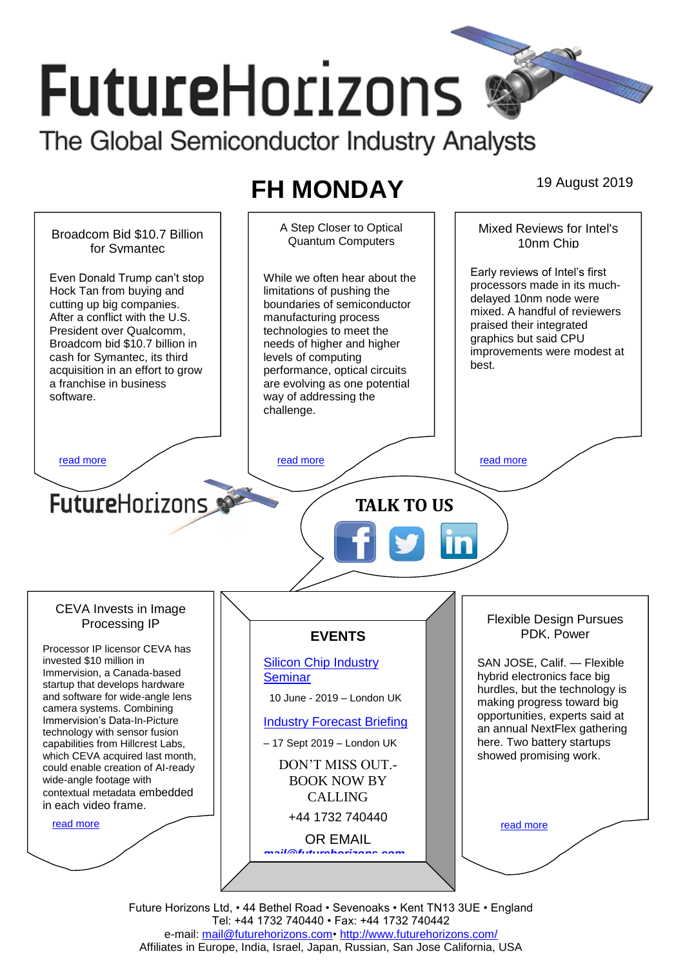# **FutureHorizons** The Global Semiconductor Industry Analysts

## **FH MONDAY** 19 August 2019

A Step Closer to Optical Mixed Reviews for Intel's Broadcom Bid \$10.7 Billion Quantum Computers 10nm Chip for Symantec Early reviews of Intel's first Even Donald Trump can't stop While we often hear about the processors made in its much-Hock Tan from buying and limitations of pushing the delayed 10nm node were cutting up big companies. boundaries of semiconductor mixed. A handful of reviewers After a conflict with the U.S. manufacturing process praised their integrated President over Qualcomm, technologies to meet the graphics but said CPU Broadcom bid \$10.7 billion in needs of higher and higher improvements were modest at cash for Symantec, its third levels of computing best. acquisition in an effort to grow performance, optical circuits a franchise in business are evolving as one potential software. way of addressing the challenge. [read more](#page-1-1) that the second contract the second contract of the read more that the read more that the read more **Future**Horizons **TALK TO US** CEVA Invests in Image Flexible Design Pursues Processing IP PDK, Power **EVENTS** Processor IP licensor CEVA has invested \$10 million in [Silicon Chip Industry](http://www.futurehorizons.com/page/12/silicon-chip-training)  SAN JOSE, Calif. — Flexible Immervision, a Canada-based hybrid electronics face big **[Seminar](http://www.futurehorizons.com/page/12/silicon-chip-training)** startup that develops hardware hurdles, but the technology is and software for wide-angle lens 10 June - 2019 – London UK making progress toward big camera systems. Combining opportunities, experts said at Immervision's Data-In-Picture [Industry Forecast Briefing](http://www.futurehorizons.com/page/13/Semiconductor-Market-Forecast-Seminar) an annual NextFlex gathering technology with sensor fusion here. Two battery startups – 17 Sept 2019 – London UK capabilities from Hillcrest Labs, which CEVA acquired last month, showed promising work. DON'T MISS OUT. could enable creation of AI-ready wide-angle footage with BOOK NOW BY contextual metadata embedded CALLING in each video frame.+44 1732 740440 [read more](#page-1-3) [read more](#page-1-4) OR EMAIL *[mail@futurehorizons.com](mailto:mail@futurehorizons.com)*

Future Horizons Ltd, • 44 Bethel Road • Sevenoaks • Kent TN13 3UE • England Tel: +44 1732 740440 • Fax: +44 1732 740442 e-mail: [mail@futurehorizons.com•](../FH%20Monday%20-%202017/mail@futurehorizons.com)<http://www.futurehorizons.com/> Affiliates in Europe, India, Israel, Japan, Russian, San Jose California, USA